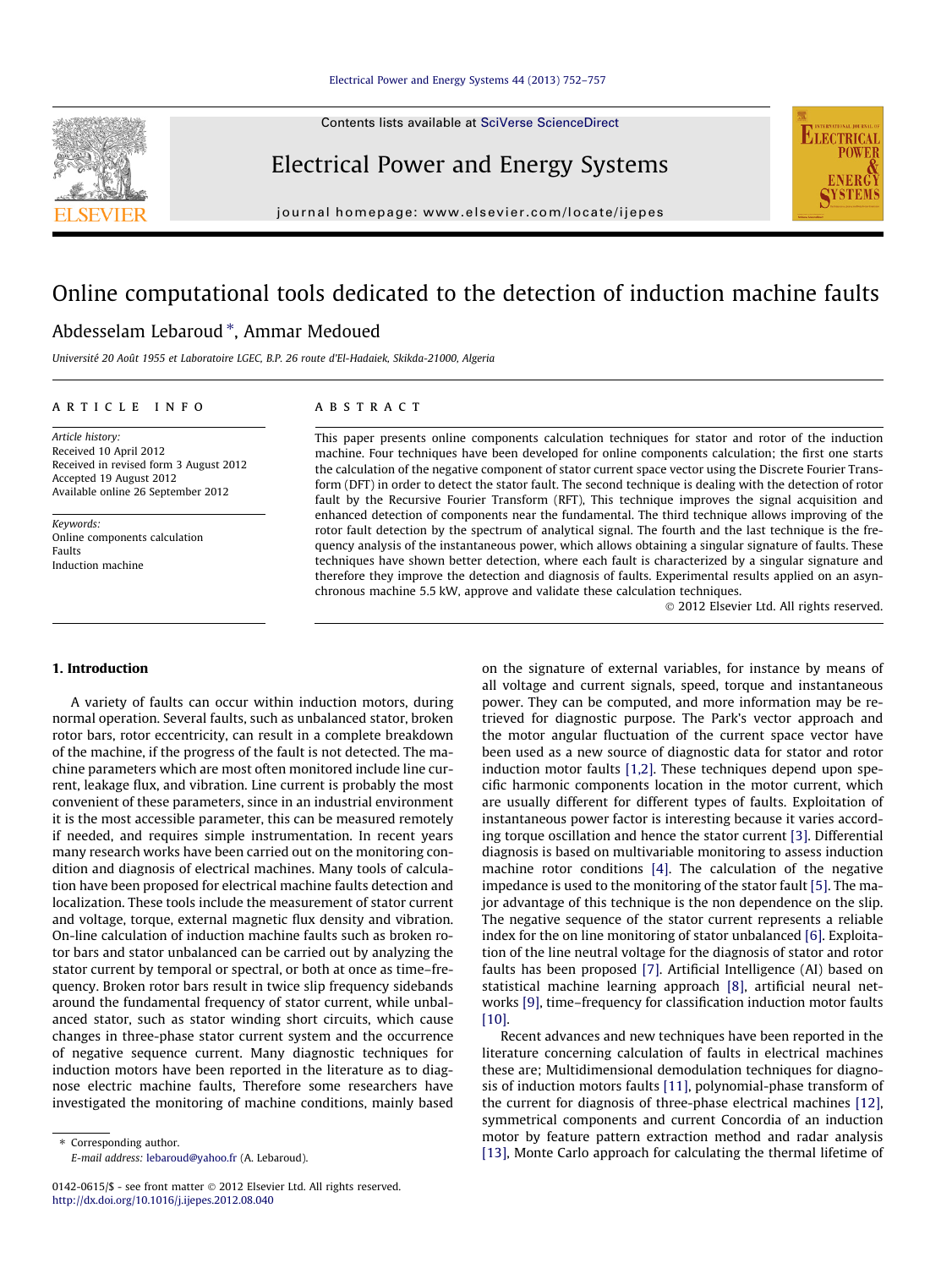Contents lists available at [SciVerse ScienceDirect](http://www.sciencedirect.com/science/journal/01420615)



Electrical Power and Energy Systems



journal homepage: [www.elsevier.com/locate/ijepes](http://www.elsevier.com/locate/ijepes)

# Online computational tools dedicated to the detection of induction machine faults

### Abdesselam Lebaroud \*, Ammar Medoued

Université 20 Août 1955 et Laboratoire LGEC, B.P. 26 route d'El-Hadaiek, Skikda-21000, Algeria

#### article info

Article history: Received 10 April 2012 Received in revised form 3 August 2012 Accepted 19 August 2012 Available online 26 September 2012

Keywords: Online components calculation Faults Induction machine

#### **ABSTRACT**

This paper presents online components calculation techniques for stator and rotor of the induction machine. Four techniques have been developed for online components calculation; the first one starts the calculation of the negative component of stator current space vector using the Discrete Fourier Transform (DFT) in order to detect the stator fault. The second technique is dealing with the detection of rotor fault by the Recursive Fourier Transform (RFT), This technique improves the signal acquisition and enhanced detection of components near the fundamental. The third technique allows improving of the rotor fault detection by the spectrum of analytical signal. The fourth and the last technique is the frequency analysis of the instantaneous power, which allows obtaining a singular signature of faults. These techniques have shown better detection, where each fault is characterized by a singular signature and therefore they improve the detection and diagnosis of faults. Experimental results applied on an asynchronous machine 5.5 kW, approve and validate these calculation techniques.

- 2012 Elsevier Ltd. All rights reserved.

#### 1. Introduction

A variety of faults can occur within induction motors, during normal operation. Several faults, such as unbalanced stator, broken rotor bars, rotor eccentricity, can result in a complete breakdown of the machine, if the progress of the fault is not detected. The machine parameters which are most often monitored include line current, leakage flux, and vibration. Line current is probably the most convenient of these parameters, since in an industrial environment it is the most accessible parameter, this can be measured remotely if needed, and requires simple instrumentation. In recent years many research works have been carried out on the monitoring condition and diagnosis of electrical machines. Many tools of calculation have been proposed for electrical machine faults detection and localization. These tools include the measurement of stator current and voltage, torque, external magnetic flux density and vibration. On-line calculation of induction machine faults such as broken rotor bars and stator unbalanced can be carried out by analyzing the stator current by temporal or spectral, or both at once as time–frequency. Broken rotor bars result in twice slip frequency sidebands around the fundamental frequency of stator current, while unbalanced stator, such as stator winding short circuits, which cause changes in three-phase stator current system and the occurrence of negative sequence current. Many diagnostic techniques for induction motors have been reported in the literature as to diagnose electric machine faults, Therefore some researchers have investigated the monitoring of machine conditions, mainly based

⇑ Corresponding author. E-mail address: [lebaroud@yahoo.fr](mailto:lebaroud@yahoo.fr) (A. Lebaroud).

on the signature of external variables, for instance by means of all voltage and current signals, speed, torque and instantaneous power. They can be computed, and more information may be retrieved for diagnostic purpose. The Park's vector approach and the motor angular fluctuation of the current space vector have been used as a new source of diagnostic data for stator and rotor induction motor faults [\[1,2\].](#page--1-0) These techniques depend upon specific harmonic components location in the motor current, which are usually different for different types of faults. Exploitation of instantaneous power factor is interesting because it varies according torque oscillation and hence the stator current [\[3\].](#page--1-0) Differential diagnosis is based on multivariable monitoring to assess induction machine rotor conditions [\[4\].](#page--1-0) The calculation of the negative impedance is used to the monitoring of the stator fault [\[5\]](#page--1-0). The major advantage of this technique is the non dependence on the slip. The negative sequence of the stator current represents a reliable index for the on line monitoring of stator unbalanced [\[6\].](#page--1-0) Exploitation of the line neutral voltage for the diagnosis of stator and rotor faults has been proposed [\[7\].](#page--1-0) Artificial Intelligence (AI) based on statistical machine learning approach [\[8\],](#page--1-0) artificial neural networks [\[9\],](#page--1-0) time–frequency for classification induction motor faults [\[10\]](#page--1-0).

Recent advances and new techniques have been reported in the literature concerning calculation of faults in electrical machines these are; Multidimensional demodulation techniques for diagnosis of induction motors faults [\[11\],](#page--1-0) polynomial-phase transform of the current for diagnosis of three-phase electrical machines [\[12\],](#page--1-0) symmetrical components and current Concordia of an induction motor by feature pattern extraction method and radar analysis [\[13\]](#page--1-0), Monte Carlo approach for calculating the thermal lifetime of

<sup>0142-0615/\$ -</sup> see front matter © 2012 Elsevier Ltd. All rights reserved. <http://dx.doi.org/10.1016/j.ijepes.2012.08.040>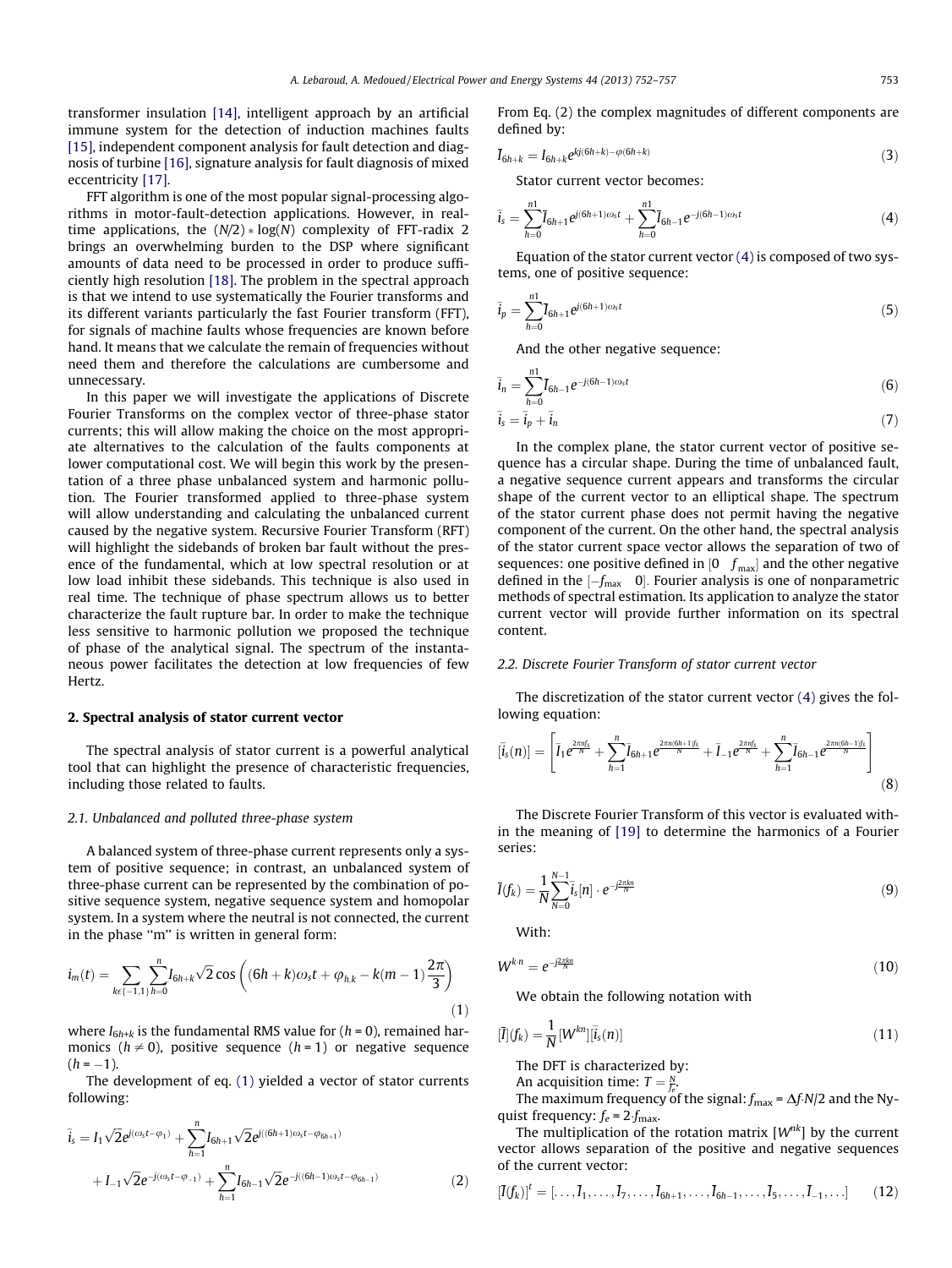transformer insulation [\[14\],](#page--1-0) intelligent approach by an artificial immune system for the detection of induction machines faults [\[15\],](#page--1-0) independent component analysis for fault detection and diagnosis of turbine [\[16\]](#page--1-0), signature analysis for fault diagnosis of mixed eccentricity [\[17\].](#page--1-0)

FFT algorithm is one of the most popular signal-processing algorithms in motor-fault-detection applications. However, in realtime applications, the  $(N/2)*log(N)$  complexity of FFT-radix 2 brings an overwhelming burden to the DSP where significant amounts of data need to be processed in order to produce sufficiently high resolution [\[18\]](#page--1-0). The problem in the spectral approach is that we intend to use systematically the Fourier transforms and its different variants particularly the fast Fourier transform (FFT), for signals of machine faults whose frequencies are known before hand. It means that we calculate the remain of frequencies without need them and therefore the calculations are cumbersome and unnecessary.

In this paper we will investigate the applications of Discrete Fourier Transforms on the complex vector of three-phase stator currents; this will allow making the choice on the most appropriate alternatives to the calculation of the faults components at lower computational cost. We will begin this work by the presentation of a three phase unbalanced system and harmonic pollution. The Fourier transformed applied to three-phase system will allow understanding and calculating the unbalanced current caused by the negative system. Recursive Fourier Transform (RFT) will highlight the sidebands of broken bar fault without the presence of the fundamental, which at low spectral resolution or at low load inhibit these sidebands. This technique is also used in real time. The technique of phase spectrum allows us to better characterize the fault rupture bar. In order to make the technique less sensitive to harmonic pollution we proposed the technique of phase of the analytical signal. The spectrum of the instantaneous power facilitates the detection at low frequencies of few Hertz.

#### 2. Spectral analysis of stator current vector

The spectral analysis of stator current is a powerful analytical tool that can highlight the presence of characteristic frequencies, including those related to faults.

#### 2.1. Unbalanced and polluted three-phase system

A balanced system of three-phase current represents only a system of positive sequence; in contrast, an unbalanced system of three-phase current can be represented by the combination of positive sequence system, negative sequence system and homopolar system. In a system where the neutral is not connected, the current in the phase ''m'' is written in general form:

$$
i_m(t) = \sum_{k \in \{-1,1\}} \sum_{h=0}^n I_{6h+k} \sqrt{2} \cos\left( (6h+k)\omega_s t + \varphi_{h,k} - k(m-1)\frac{2\pi}{3} \right) \tag{1}
$$

where  $I_{6h+k}$  is the fundamental RMS value for ( $h = 0$ ), remained harmonics ( $h \neq 0$ ), positive sequence ( $h = 1$ ) or negative sequence  $(h = -1)$ .

The development of eq. (1) yielded a vector of stator currents following:

$$
\overline{i}_{s} = I_{1} \sqrt{2} e^{j(\omega_{s}t - \varphi_{1})} + \sum_{h=1}^{n} I_{6h+1} \sqrt{2} e^{j((6h+1)\omega_{s}t - \varphi_{6h+1})} \n+ I_{-1} \sqrt{2} e^{-j(\omega_{s}t - \varphi_{-1})} + \sum_{h=1}^{n} I_{6h-1} \sqrt{2} e^{-j((6h-1)\omega_{s}t - \varphi_{6h-1})}
$$
\n(2)

From Eq. (2) the complex magnitudes of different components are defined by:

$$
\bar{I}_{6h+k} = I_{6h+k} e^{kj(6h+k) - \varphi(6h+k)}
$$
\n(3)

Stator current vector becomes:

$$
\bar{i}_s = \sum_{h=0}^{n1} \bar{I}_{6h+1} e^{j(6h+1)\omega_s t} + \sum_{h=0}^{n1} \bar{I}_{6h-1} e^{-j(6h-1)\omega_s t} \tag{4}
$$

Equation of the stator current vector  $(4)$  is composed of two systems, one of positive sequence:

$$
\bar{i}_p = \sum_{h=0}^{n1} \bar{I}_{6h+1} e^{j(6h+1)\omega_s t}
$$
(5)

And the other negative sequence:

$$
\bar{i}_n = \sum_{h=0}^{n1} \bar{I}_{6h-1} e^{-j(6h-1)\omega_s t}
$$
(6)

$$
\bar{i}_s = \bar{i}_p + \bar{i}_n \tag{7}
$$

In the complex plane, the stator current vector of positive sequence has a circular shape. During the time of unbalanced fault, a negative sequence current appears and transforms the circular shape of the current vector to an elliptical shape. The spectrum of the stator current phase does not permit having the negative component of the current. On the other hand, the spectral analysis of the stator current space vector allows the separation of two of sequences: one positive defined in  $[0 \quad f_{\text{max}}]$  and the other negative defined in the  $[-f_{\text{max}} \ 0]$ . Fourier analysis is one of nonparametric methods of spectral estimation. Its application to analyze the stator current vector will provide further information on its spectral content.

#### 2.2. Discrete Fourier Transform of stator current vector

The discretization of the stator current vector (4) gives the following equation:

$$
[\bar{l}_s(n)] = \left[\bar{l}_1 e^{\frac{2\pi n f_s}{N}} + \sum_{h=1}^n \bar{l}_{6h+1} e^{\frac{2\pi n (6h+1) f_s}{N}} + \bar{l}_{-1} e^{\frac{2\pi n f_s}{N}} + \sum_{h=1}^n \bar{l}_{6h-1} e^{\frac{2\pi n (6h-1) f_s}{N}}\right]
$$
(8)

The Discrete Fourier Transform of this vector is evaluated within the meaning of [\[19\]](#page--1-0) to determine the harmonics of a Fourier series:

$$
\bar{I}(f_k) = \frac{1}{N} \sum_{N=0}^{N-1} \bar{i}_s[n] \cdot e^{-j\frac{2\pi kn}{N}} \tag{9}
$$

With:

$$
W^{k.n} = e^{-j\frac{2\pi kn}{N}}\tag{10}
$$

We obtain the following notation with

$$
[\bar{I}](f_k) = \frac{1}{N} \left[W^{kn}\right][\bar{i}_s(n)] \tag{11}
$$

The DFT is characterized by:

An acquisition time:  $T = \frac{N}{f_e}$ .

The maximum frequency of the signal:  $f_{\text{max}} = \Delta f \cdot N/2$  and the Nyquist frequency:  $f_e = 2 \cdot f_{\text{max}}$ .

The multiplication of the rotation matrix  $[W^{nk}]$  by the current vector allows separation of the positive and negative sequences of the current vector:

$$
[\bar{I}(f_k)]^t = [\dots, \bar{I}_1, \dots, \bar{I}_7, \dots, \bar{I}_{6h+1}, \dots, \bar{I}_{6h-1}, \dots, \bar{I}_5, \dots, \bar{I}_{-1}, \dots] \tag{12}
$$